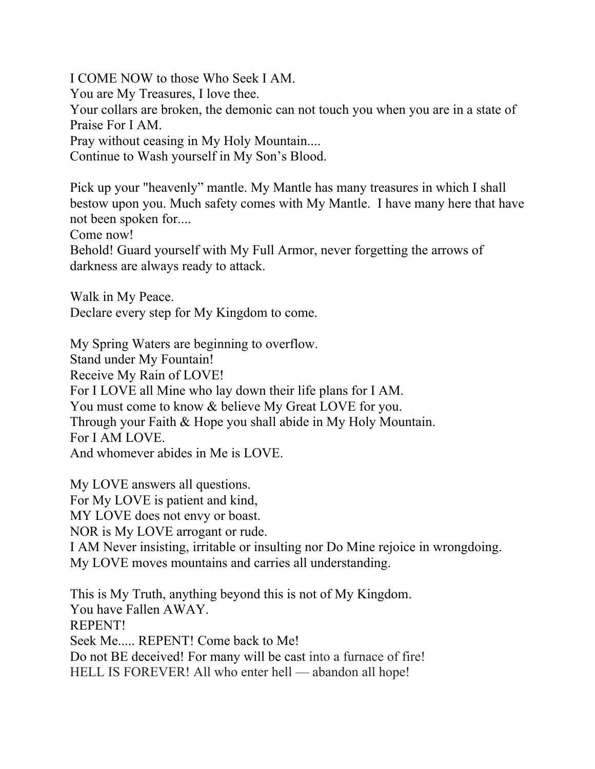I COME NOW to those Who Seek I AM. You are My Treasures, I love thee. Your collars are broken, the demonic can not touch you when you are in a state of Praise For I AM. Pray without ceasing in My Holy Mountain.... Continue to Wash yourself in My Son's Blood.

Pick up your "heavenly" mantle. My Mantle has many treasures in which I shall bestow upon you. Much safety comes with My Mantle. I have many here that have not been spoken for....

Come now!

Behold! Guard yourself with My Full Armor, never forgetting the arrows of darkness are always ready to attack.

Walk in My Peace. Declare every step for My Kingdom to come.

My Spring Waters are beginning to overflow.

Stand under My Fountain!

Receive My Rain of LOVE!

For I LOVE all Mine who lay down their life plans for I AM.

You must come to know & believe My Great LOVE for you.

Through your Faith & Hope you shall abide in My Holy Mountain. For I AM LOVE.

And whomever abides in Me is LOVE.

My LOVE answers all questions. For My LOVE is patient and kind, MY LOVE does not envy or boast. NOR is My LOVE arrogant or rude. I AM Never insisting, irritable or insulting nor Do Mine rejoice in wrongdoing. My LOVE moves mountains and carries all understanding.

This is My Truth, anything beyond this is not of My Kingdom. You have Fallen AWAY. REPENT! Seek Me..... REPENT! Come back to Me! Do not BE deceived! For many will be cast into a furnace of fire! HELL IS FOREVER! All who enter hell — abandon all hope!